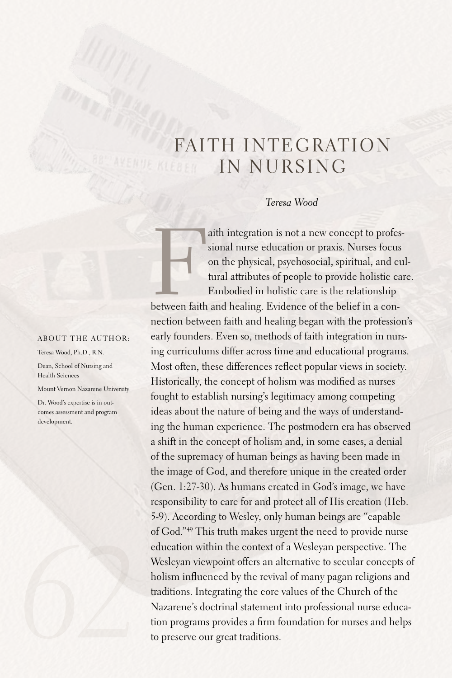# FAITH INTEGRATION IN NURSING

## *Teresa Wood*

aith integration is not a new concept to professional nurse education or praxis. Nurses focus on the physical, psychosocial, spiritual, and c tural attributes of people to provide holistic care is the relationship between aith integration is not a new concept to professional nurse education or praxis. Nurses focus on the physical, psychosocial, spiritual, and cultural attributes of people to provide holistic care. Embodied in holistic care is the relationship

nection between faith and healing began with the profession's early founders.Even so, methods of faith integration in nursing curriculums differ across time and educational programs. Most often, these differences reflect popular views in society. Historically, the concept of holism was modified as nurses fought to establish nursing's legitimacy among competing ideas about the nature of being and the ways of understanding the human experience. The postmodern era has observed a shift in the concept of holism and, in some cases, a denial of the supremacy of human beings as having been made in the image of God, and therefore unique in the created order (Gen. 1:27-30).As humans created in God's image, we have responsibility to care for and protect all of His creation (Heb. 5-9).According to Wesley, only human beings are "capable of God."49 This truth makes urgent the need to provide nurse education within the context of a Wesleyan perspective. The Wesleyan viewpoint offers an alternative to secular concepts of holism influenced by the revival of many pagan religions and traditions. Integrating the core values of the Church of the Nazarene's doctrinal statement into professional nurse education programs provides a firm foundation for nurses and helps to preserve our great traditions.

#### ABOUT THE AUTHOR:

Teresa Wood, Ph.D., R.N.

Dean, School of Nursing and Health Sciences

Mount Vernon Nazarene University

Dr. Wood's expertise is in outcomes assessment and program development.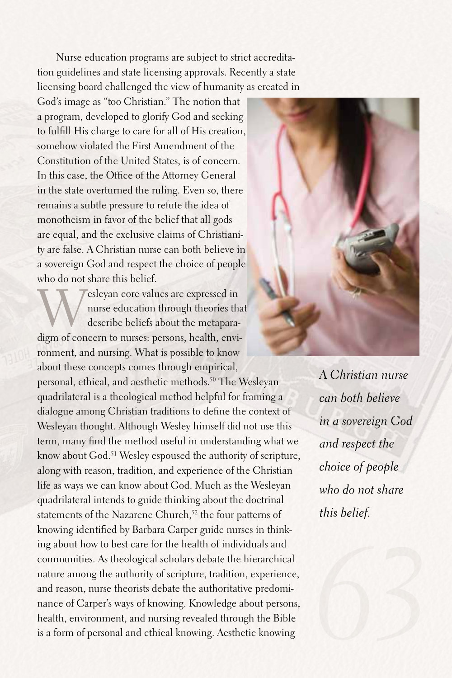Nurse education programs are subject to strict accreditation guidelines and state licensing approvals. Recently a state licensing board challenged the view of humanity as created in

God's image as "too Christian." The notion that a program, developed to glorify God and seeking to fulfill His charge to care for all of His creation, somehow violated the First Amendment of the Constitution of the United States, is of concern. In this case, the Office of the Attorney General in the state overturned the ruling. Even so, there remains a subtle pressure to refute the idea of monotheism in favor of the belief that all gods are equal, and the exclusive claims of Christianity are false.A Christian nurse can both believe in a sovereign God and respect the choice of people who do not share this belief.

esleyan core values are expressed in nurse education through theories that describe beliefs about the metaparadigm of concern to nurses: persons, health, environment, and nursing. What is possible to know about these concepts comes through empirical, personal, ethical, and aesthetic methods. 50 The Wesleyan quadrilateral is a theological method helpful for framing a dialogue among Christian traditions to define the context of Wesleyan thought.Although Wesley himself did not use this term, many find the method useful in understanding what we know about God. 51 Wesley espoused the authority of scripture, along with reason, tradition, and experience of the Christian life as ways we can know about God. Much as the Wesleyan quadrilateral intends to guide thinking about the doctrinal statements of the Nazarene Church,<sup>52</sup> the four patterns of knowing identified by Barbara Carper guide nurses in thinking about how to best care for the health of individuals and communities.As theological scholars debate the hierarchical nature among the authority of scripture, tradition, experience, and reason, nurse theorists debate the authoritative predominance of Carper's ways of knowing. Knowledge about persons, health, environment, and nursing revealed through the Bible is a form of personal and ethical knowing. Aesthetic knowing



*A Christian nurse can both believe in a sovereign God and respect the choice of people who do not share this belief.*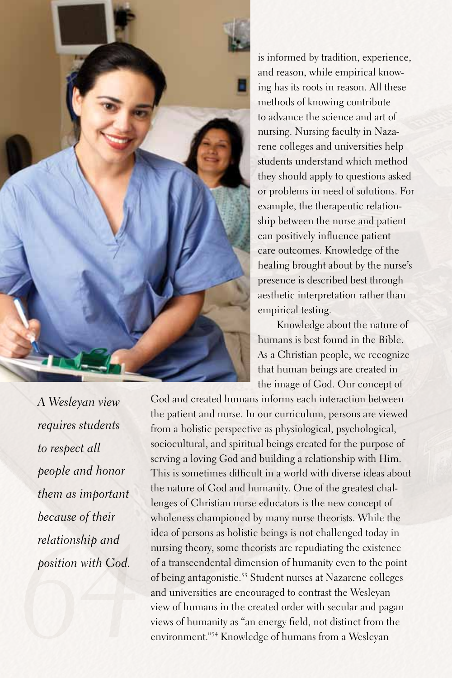

is informed by tradition, experience, and reason, while empirical knowing has its roots in reason.All these methods of knowing contribute to advance the science and art of nursing. Nursing faculty in Nazarene colleges and universities help students understand which method they should apply to questions asked or problems in need of solutions.For example, the therapeutic relationship between the nurse and patient can positively influence patient care outcomes. Knowledge of the healing brought about by the nurse's presence is described best through aesthetic interpretation rather than empirical testing.

Knowledge about the nature of humans is best found in the Bible. As a Christian people, we recognize that human beings are created in the image of God. Our concept of

God and created humans informs each interaction between the patient and nurse. In our curriculum, persons are viewed from a holistic perspective as physiological, psychological, sociocultural, and spiritual beings created for the purpose of serving a loving God and building a relationship with Him. This is sometimes difficult in a world with diverse ideas about the nature of God and humanity. One of the greatest challenges of Christian nurse educators is the new concept of wholeness championed by many nurse theorists. While the idea of persons as holistic beings is not challenged today in nursing theory, some theorists are repudiating the existence of a transcendental dimension of humanity even to the point of being antagonistic. <sup>53</sup> Student nurses at Nazarene colleges and universities are encouraged to contrast the Wesleyan view of humans in the created order with secular and pagan views of humanity as "an energy field, not distinct from the environment."54 Knowledge of humans from a Wesleyan

*64 A Wesleyan view requires students to respect all people and honor them as important because of their relationship and position with God.*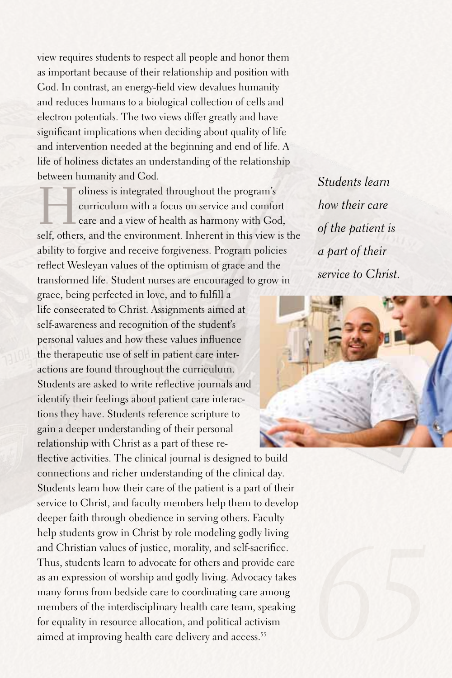view requires students to respect all people and honor them as important because of their relationship and position with God. In contrast, an energy-field view devalues humanity and reduces humans to a biological collection of cells and electron potentials. The two views differ greatly and have significant implications when deciding about quality of life and intervention needed at the beginning and end of life.A life of holiness dictates an understanding of the relationship between humanity and God.

I oliness is integrated throughout the program's<br>curriculum with a focus on service and comfor-<br>care and a view of health as harmony with Goself-<br>orbors, and the environment-Inherent in this view. curriculum with a focus on service and comfort care and a view of health as harmony with God, self, others, and the environment. Inherent in this view is the ability to forgive and receive forgiveness. Program policies reflect Wesleyan values of the optimism of grace and the transformed life.Student nurses are encouraged to grow in

grace, being perfected in love, and to fulfill a life consecrated to Christ. Assignments aimed at self-awareness and recognition of the student's personal values and how these values influence the therapeutic use of self in patient care interactions are found throughout the curriculum. Students are asked to write reflective journals and identify their feelings about patient care interactions they have. Students reference scripture to gain a deeper understanding of their personal relationship with Christ as a part of these re-

flective activities. The clinical journal is designed to build connections and richer understanding of the clinical day. Students learn how their care of the patient is a part of their service to Christ, and faculty members help them to develop deeper faith through obedience in serving others. Faculty help students grow in Christ by role modeling godly living and Christian values of justice, morality, and self-sacrifice. Thus, students learn to advocate for others and provide care as an expression of worship and godly living.Advocacy takes many forms from bedside care to coordinating care among members of the interdisciplinary health care team, speaking for equality in resource allocation, and political activism aimed at improving health care delivery and access. 55

*Students learn how their care of the patient is a part of their service to Christ.*